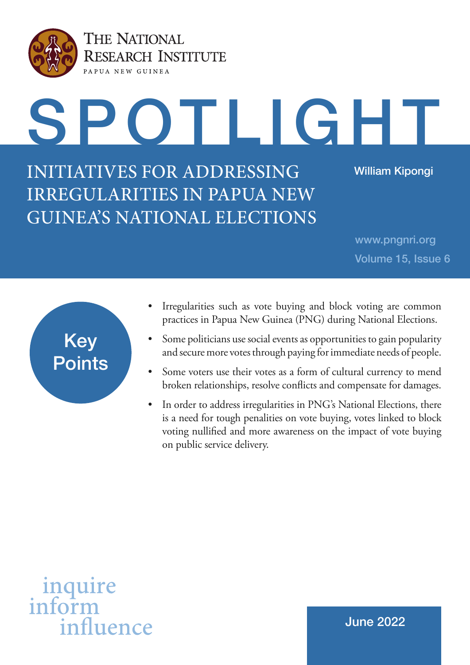

THE NATIONAL **RESEARCH INSTITUTE** PAPUA NEW GUINEA

SPOTLIGHT

INITIATIVES FOR ADDRESSING IRREGULARITIES IN PAPUA NEW GUINEA'S NATIONAL ELECTIONS

William Kipongi

www.pngnri.org Volume 15, Issue 6



- Irregularities such as vote buying and block voting are common practices in Papua New Guinea (PNG) during National Elections.
- Some politicians use social events as opportunities to gain popularity and secure more votes through paying for immediate needs of people.
- Some voters use their votes as a form of cultural currency to mend broken relationships, resolve conflicts and compensate for damages.
- In order to address irregularities in PNG's National Elections, there is a need for tough penalities on vote buying, votes linked to block voting nullified and more awareness on the impact of vote buying on public service delivery.

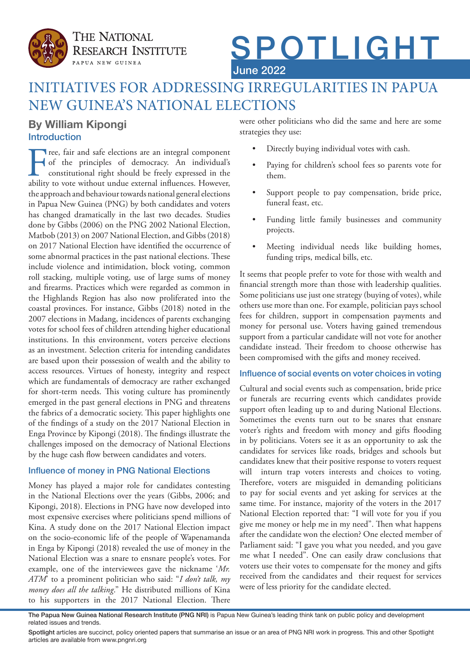

# SPOTLIGHT June 2022

# INITIATIVES FOR ADDRESSING IRREGULARITIES IN PAPUA NEW GUINEA'S NATIONAL ELECTIONS

# Introduction **By William Kipongi**

Free, fair and safe elections are an integral component<br>of the principles of democracy. An individual's<br>constitutional right should be freely expressed in the<br>ability to vote without undue external influences. However, of the principles of democracy. An individual's constitutional right should be freely expressed in the ability to vote without undue external influences. However, the approach and behaviour towards national general elections in Papua New Guinea (PNG) by both candidates and voters has changed dramatically in the last two decades. Studies done by Gibbs (2006) on the PNG 2002 National Election, Matbob (2013) on 2007 National Election, and Gibbs (2018) on 2017 National Election have identified the occurrence of some abnormal practices in the past national elections. These include violence and intimidation, block voting, common roll stacking, multiple voting, use of large sums of money and firearms. Practices which were regarded as common in the Highlands Region has also now proliferated into the coastal provinces. For instance, Gibbs (2018) noted in the 2007 elections in Madang, incidences of parents exchanging votes for school fees of children attending higher educational institutions. In this environment, voters perceive elections as an investment. Selection criteria for intending candidates are based upon their possession of wealth and the ability to access resources. Virtues of honesty, integrity and respect which are fundamentals of democracy are rather exchanged for short-term needs. This voting culture has prominently emerged in the past general elections in PNG and threatens the fabrics of a democratic society. This paper highlights one of the findings of a study on the 2017 National Election in Enga Province by Kipongi (2018). The findings illustrate the challenges imposed on the democracy of National Elections by the huge cash flow between candidates and voters.

### Influence of money in PNG National Elections

Money has played a major role for candidates contesting in the National Elections over the years (Gibbs, 2006; and Kipongi, 2018). Elections in PNG have now developed into most expensive exercises where politicians spend millions of Kina. A study done on the 2017 National Election impact on the socio-economic life of the people of Wapenamanda in Enga by Kipongi (2018) revealed the use of money in the National Election was a snare to ensnare people's votes. For example, one of the interviewees gave the nickname '*Mr. ATM*' to a prominent politician who said: "*I don't talk, my money does all the talking*." He distributed millions of Kina to his supporters in the 2017 National Election. There

were other politicians who did the same and here are some strategies they use:

- Directly buying individual votes with cash.
- Paying for children's school fees so parents vote for them.
- Support people to pay compensation, bride price, funeral feast, etc.
- Funding little family businesses and community projects.
- Meeting individual needs like building homes, funding trips, medical bills, etc.

It seems that people prefer to vote for those with wealth and financial strength more than those with leadership qualities. Some politicians use just one strategy (buying of votes), while others use more than one. For example, politician pays school fees for children, support in compensation payments and money for personal use. Voters having gained tremendous support from a particular candidate will not vote for another candidate instead. Their freedom to choose otherwise has been compromised with the gifts and money received.

#### Influence of social events on voter choices in voting

Cultural and social events such as compensation, bride price or funerals are recurring events which candidates provide support often leading up to and during National Elections. Sometimes the events turn out to be snares that ensnare voter's rights and freedom with money and gifts flooding in by politicians. Voters see it as an opportunity to ask the candidates for services like roads, bridges and schools but candidates knew that their positive response to voters request will inturn trap voters interests and choices to voting. Therefore, voters are misguided in demanding politicians to pay for social events and yet asking for services at the same time. For instance, majority of the voters in the 2017 National Election reported that: "I will vote for you if you give me money or help me in my need". Then what happens after the candidate won the election? One elected member of Parliament said: "I gave you what you needed, and you gave me what I needed". One can easily draw conclusions that voters use their votes to compensate for the money and gifts received from the candidates and their request for services were of less priority for the candidate elected.

The Papua New Guinea National Research Institute (PNG NRI) is Papua New Guinea's leading think tank on public policy and development related issues and trends.

Spotlight articles are succinct, policy oriented papers that summarise an issue or an area of PNG NRI work in progress. This and other Spotlight articles are available from www.pngnri.org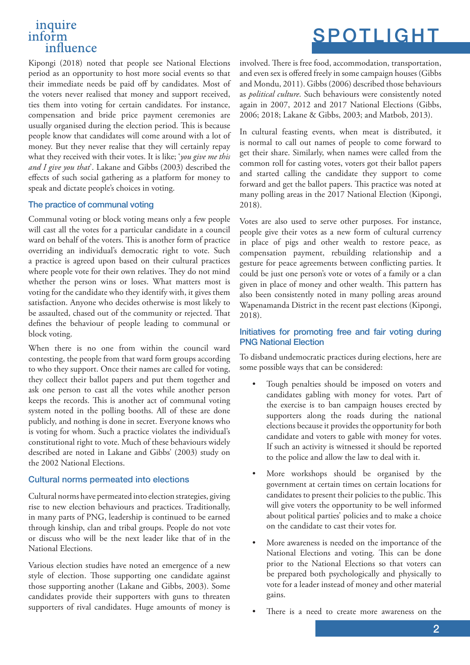## inquire inform influence

Kipongi (2018) noted that people see National Elections period as an opportunity to host more social events so that their immediate needs be paid off by candidates. Most of the voters never realised that money and support received, ties them into voting for certain candidates. For instance, compensation and bride price payment ceremonies are usually organised during the election period. This is because people know that candidates will come around with a lot of money. But they never realise that they will certainly repay what they received with their votes. It is like; '*you give me this and I give you that*'. Lakane and Gibbs (2003) described the effects of such social gathering as a platform for money to speak and dictate people's choices in voting.

#### The practice of communal voting

Communal voting or block voting means only a few people will cast all the votes for a particular candidate in a council ward on behalf of the voters. This is another form of practice overriding an individual's democratic right to vote. Such a practice is agreed upon based on their cultural practices where people vote for their own relatives. They do not mind whether the person wins or loses. What matters most is voting for the candidate who they identify with, it gives them satisfaction. Anyone who decides otherwise is most likely to be assaulted, chased out of the community or rejected. That defines the behaviour of people leading to communal or block voting.

When there is no one from within the council ward contesting, the people from that ward form groups according to who they support. Once their names are called for voting, they collect their ballot papers and put them together and ask one person to cast all the votes while another person keeps the records. This is another act of communal voting system noted in the polling booths. All of these are done publicly, and nothing is done in secret. Everyone knows who is voting for whom. Such a practice violates the individual's constitutional right to vote. Much of these behaviours widely described are noted in Lakane and Gibbs' (2003) study on the 2002 National Elections.

#### Cultural norms permeated into elections

Cultural norms have permeated into election strategies, giving rise to new election behaviours and practices. Traditionally, in many parts of PNG, leadership is continued to be earned through kinship, clan and tribal groups. People do not vote or discuss who will be the next leader like that of in the National Elections.

Various election studies have noted an emergence of a new style of election. Those supporting one candidate against those supporting another (Lakane and Gibbs, 2003). Some candidates provide their supporters with guns to threaten supporters of rival candidates. Huge amounts of money is

involved. There is free food, accommodation, transportation, and even sex is offered freely in some campaign houses (Gibbs and Mondu, 2011). Gibbs (2006) described those behaviours as *political culture*. Such behaviours were consistently noted again in 2007, 2012 and 2017 National Elections (Gibbs, 2006; 2018; Lakane & Gibbs, 2003; and Matbob, 2013).

In cultural feasting events, when meat is distributed, it is normal to call out names of people to come forward to get their share. Similarly, when names were called from the common roll for casting votes, voters got their ballot papers and started calling the candidate they support to come forward and get the ballot papers. This practice was noted at many polling areas in the 2017 National Election (Kipongi, 2018).

Votes are also used to serve other purposes. For instance, people give their votes as a new form of cultural currency in place of pigs and other wealth to restore peace, as compensation payment, rebuilding relationship and a gesture for peace agreements between conflicting parties. It could be just one person's vote or votes of a family or a clan given in place of money and other wealth. This pattern has also been consistently noted in many polling areas around Wapenamanda District in the recent past elections (Kipongi, 2018).

#### Initiatives for promoting free and fair voting during PNG National Election

To disband undemocratic practices during elections, here are some possible ways that can be considered:

- Tough penalties should be imposed on voters and candidates gabling with money for votes. Part of the exercise is to ban campaign houses erected by supporters along the roads during the national elections because it provides the opportunity for both candidate and voters to gable with money for votes. If such an activity is witnessed it should be reported to the police and allow the law to deal with it.
- More workshops should be organised by the government at certain times on certain locations for candidates to present their policies to the public. This will give voters the opportunity to be well informed about political parties' policies and to make a choice on the candidate to cast their votes for.
- More awareness is needed on the importance of the National Elections and voting. This can be done prior to the National Elections so that voters can be prepared both psychologically and physically to vote for a leader instead of money and other material gains.
- There is a need to create more awareness on the

# SPOTLIGHT